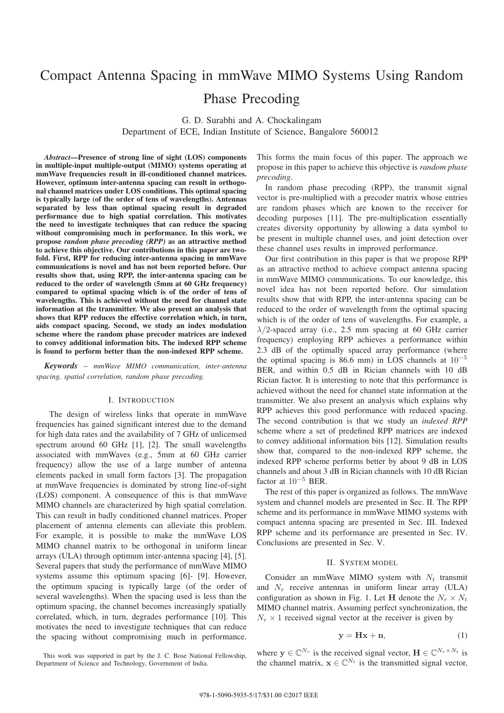# Compact Antenna Spacing in mmWave MIMO Systems Using Random

Phase Precoding

G. D. Surabhi and A. Chockalingam Department of ECE, Indian Institute of Science, Bangalore 560012

*Abstract*—Presence of strong line of sight (LOS) components in multiple-input multiple-output (MIMO) systems operating at mmWave frequencies result in ill-conditioned channel matrices. However, optimum inter-antenna spacing can result in orthogonal channel matrices under LOS conditions. This optimal spacing is typically large (of the order of tens of wavelengths). Antennas separated by less than optimal spacing result in degraded performance due to high spatial correlation. This motivates the need to investigate techniques that can reduce the spacing without compromising much in performance. In this work, we propose *random phase precoding (RPP)* as an attractive method to achieve this objective. Our contributions in this paper are twofold. First, RPP for reducing inter-antenna spacing in mmWave communications is novel and has not been reported before. Our results show that, using RPP, the inter-antenna spacing can be reduced to the order of wavelength (5mm at 60 GHz frequency) compared to optimal spacing which is of the order of tens of wavelengths. This is achieved without the need for channel state information at the transmitter. We also present an analysis that shows that RPP reduces the effective correlation which, in turn, aids compact spacing. Second, we study an index modulation scheme where the random phase precoder matrices are indexed to convey additional information bits. The indexed RPP scheme is found to perform better than the non-indexed RPP scheme.

*Keywords* – *mmWave MIMO communication, inter-antenna spacing, spatial correlation, random phase precoding.*

#### I. INTRODUCTION

The design of wireless links that operate in mmWave frequencies has gained significant interest due to the demand for high data rates and the availability of 7 GHz of unlicensed spectrum around 60 GHz [1], [2]. The small wavelengths associated with mmWaves (e.g., 5mm at 60 GHz carrier frequency) allow the use of a large number of antenna elements packed in small form factors [3]. The propagation at mmWave frequencies is dominated by strong line-of-sight (LOS) component. A consequence of this is that mmWave MIMO channels are characterized by high spatial correlation. This can result in badly conditioned channel matrices. Proper placement of antenna elements can alleviate this problem. For example, it is possible to make the mmWave LOS MIMO channel matrix to be orthogonal in uniform linear arrays (ULA) through optimum inter-antenna spacing [4], [5]. Several papers that study the performance of mmWave MIMO systems assume this optimum spacing [6]- [9]. However, the optimum spacing is typically large (of the order of several wavelengths). When the spacing used is less than the optimum spacing, the channel becomes increasingly spatially correlated, which, in turn, degrades performance [10]. This motivates the need to investigate techniques that can reduce the spacing without compromising much in performance.

This forms the main focus of this paper. The approach we propose in this paper to achieve this objective is *random phase precoding*.

In random phase precoding (RPP), the transmit signal vector is pre-multiplied with a precoder matrix whose entries are random phases which are known to the receiver for decoding purposes [11]. The pre-multiplication essentially creates diversity opportunity by allowing a data symbol to be present in multiple channel uses, and joint detection over these channel uses results in improved performance.

Our first contribution in this paper is that we propose RPP as an attractive method to achieve compact antenna spacing in mmWave MIMO communications. To our knowledge, this novel idea has not been reported before. Our simulation results show that with RPP, the inter-antenna spacing can be reduced to the order of wavelength from the optimal spacing which is of the order of tens of wavelengths. For example, a  $\lambda/2$ -spaced array (i.e., 2.5 mm spacing at 60 GHz carrier frequency) employing RPP achieves a performance within 2.3 dB of the optimally spaced array performance (where the optimal spacing is 86.6 mm) in LOS channels at  $10^{-5}$ BER, and within 0.5 dB in Rician channels with 10 dB Rician factor. It is interesting to note that this performance is achieved without the need for channel state information at the transmitter. We also present an analysis which explains why RPP achieves this good performance with reduced spacing. The second contribution is that we study an *indexed RPP* scheme where a set of predefined RPP matrices are indexed to convey additional information bits [12]. Simulation results show that, compared to the non-indexed RPP scheme, the indexed RPP scheme performs better by about 9 dB in LOS channels and about 3 dB in Rician channels with 10 dB Rician factor at  $10^{-5}$  BER.

The rest of this paper is organized as follows. The mmWave system and channel models are presented in Sec. II. The RPP scheme and its performance in mmWave MIMO systems with compact antenna spacing are presented in Sec. III. Indexed RPP scheme and its performance are presented in Sec. IV. Conclusions are presented in Sec. V.

# II. SYSTEM MODEL

Consider an mmWave MIMO system with  $N_t$  transmit and  $N_r$  receive antennas in uniform linear array (ULA) configuration as shown in Fig. 1. Let **H** denote the  $N_r \times N_t$ MIMO channel matrix. Assuming perfect synchronization, the  $N_r \times 1$  received signal vector at the receiver is given by

$$
y = Hx + n,\t\t(1)
$$

where  $y \in \mathbb{C}^{N_r}$  is the received signal vector,  $\mathbf{H} \in \mathbb{C}^{N_r \times N_t}$  is the channel matrix,  $\mathbf{x} \in \mathbb{C}^{N_t}$  is the transmitted signal vector,

This work was supported in part by the J. C. Bose National Fellowship, Department of Science and Technology, Government of India.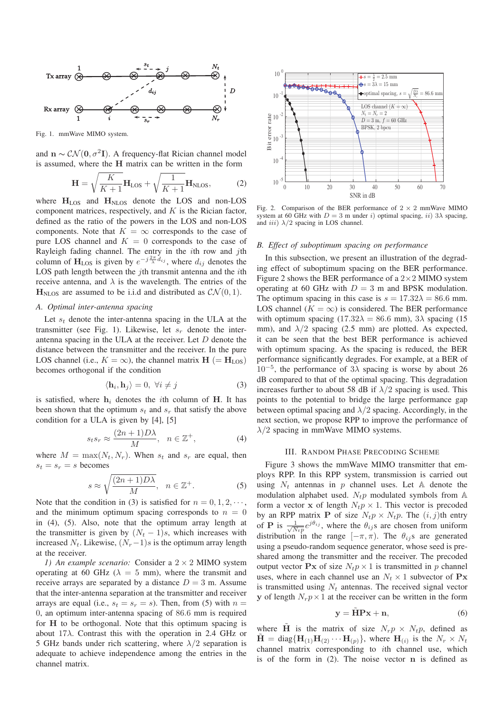

Fig. 1. mmWave MIMO system.

and  $\mathbf{n} \sim \mathcal{CN}(\mathbf{0}, \sigma^2 \mathbf{I})$ . A frequency-flat Rician channel model is assumed, where the **H** matrix can be written in the form

$$
\mathbf{H} = \sqrt{\frac{K}{K+1}} \mathbf{H}_{\text{LOS}} + \sqrt{\frac{1}{K+1}} \mathbf{H}_{\text{NLOS}},
$$
 (2)  
where  $\mathbf{H}_{\text{LOS}}$  and  $\mathbf{H}_{\text{NLOS}}$  denote the LOS and non-LOS

component matrices, respectively, and  $K$  is the Rician factor, defined as the ratio of the powers in the LOS and non-LOS components. Note that  $K = \infty$  corresponds to the case of pure LOS channel and  $K = 0$  corresponds to the case of Rayleigh fading channel. The entry in the *i*th row and *j*th column of  $H_{LOS}$  is given by  $e^{-j\frac{2\pi}{\lambda}d_{ij}}$ , where  $d_{ij}$  denotes the LOS path length between the  $j$ th transmit antenna and the  $i$ th receive antenna, and  $\lambda$  is the wavelength. The entries of the  $\mathbf{H}_{\text{NLOS}}$  are assumed to be i.i.d and distributed as  $\mathcal{CN}(0, 1)$ .

#### *A. Optimal inter-antenna spacing*

Let  $s_t$  denote the inter-antenna spacing in the ULA at the transmitter (see Fig. 1). Likewise, let  $s_r$  denote the interantenna spacing in the ULA at the receiver. Let D denote the distance between the transmitter and the receiver. In the pure LOS channel (i.e.,  $K = \infty$ ), the channel matrix  $\mathbf{H}$  (=  $\mathbf{H}_{\text{LOS}}$ ) becomes orthogonal if the condition

$$
\langle \mathbf{h}_i, \mathbf{h}_j \rangle = 0, \ \forall i \neq j \tag{3}
$$

is satisfied, where  $h_i$  denotes the *i*th column of **H**. It has been shown that the optimum  $s_t$  and  $s_r$  that satisfy the above condition for a ULA is given by [4], [5]

$$
s_t s_r \approx \frac{(2n+1)D\lambda}{M}, \quad n \in \mathbb{Z}^+, \tag{4}
$$

where  $M = \max(N_t, N_r)$ . When  $s_t$  and  $s_r$  are equal, then  $s_t = s_r = s$  becomes

$$
s \approx \sqrt{\frac{(2n+1)D\lambda}{M}}, \quad n \in \mathbb{Z}^+.
$$
 (5)

Note that the condition in (3) is satisfied for  $n = 0, 1, 2, \dots$ , and the minimum optimum spacing corresponds to  $n = 0$ in (4), (5). Also, note that the optimum array length at the transmitter is given by  $(N_t - 1)s$ , which increases with increased  $N_t$ . Likewise,  $(N_r-1)s$  is the optimum array length at the receiver.

*1) An example scenario:* Consider a 2 <sup>×</sup> 2 MIMO system operating at 60 GHz ( $\lambda = 5$  mm), where the transmit and receive arrays are separated by a distance  $D = 3$  m. Assume that the inter-antenna separation at the transmitter and receiver arrays are equal (i.e.,  $s_t = s_r = s$ ). Then, from (5) with  $n =$ 0, an optimum inter-antenna spacing of 86.6 mm is required for **H** to be orthogonal. Note that this optimum spacing is about  $17\lambda$ . Contrast this with the operation in 2.4 GHz or 5 GHz bands under rich scattering, where  $\lambda/2$  separation is adequate to achieve independence among the entries in the channel matrix.



Fig. 2. Comparison of the BER performance of  $2 \times 2$  mmWave MIMO system at 60 GHz with  $D = 3$  m under i) optimal spacing, ii)  $3\lambda$  spacing, and *iii*)  $\lambda/2$  spacing in LOS channel.

# *B. Effect of suboptimum spacing on performance*

In this subsection, we present an illustration of the degrading effect of suboptimum spacing on the BER performance. Figure 2 shows the BER performance of a  $2 \times 2$  MIMO system operating at 60 GHz with  $D = 3$  m and BPSK modulation. The optimum spacing in this case is  $s = 17.32\lambda = 86.6$  mm. LOS channel ( $K = \infty$ ) is considered. The BER performance with optimum spacing  $(17.32\lambda = 86.6 \text{ mm})$ ,  $3\lambda$  spacing  $(15$ mm), and  $\lambda/2$  spacing (2.5 mm) are plotted. As expected, it can be seen that the best BER performance is achieved with optimum spacing. As the spacing is reduced, the BER performance significantly degrades. For example, at a BER of  $10^{-5}$ , the performance of  $3\lambda$  spacing is worse by about 26 dB compared to that of the optimal spacing. This degradation increases further to about 58 dB if  $\lambda/2$  spacing is used. This points to the potential to bridge the large performance gap between optimal spacing and  $\lambda/2$  spacing. Accordingly, in the next section, we propose RPP to improve the performance of  $\lambda/2$  spacing in mmWave MIMO systems.

#### III. RANDOM PHASE PRECODING SCHEME

Figure 3 shows the mmWave MIMO transmitter that employs RPP. In this RPP system, transmission is carried out using  $N_t$  antennas in p channel uses. Let A denote the modulation alphabet used.  $N_t p$  modulated symbols from  $A$ form a vector **x** of length  $N_t p \times 1$ . This vector is precoded by an RPP matrix **P** of size  $N_t p \times N_t p$ . The  $(i, j)$ th entry of **P** is  $\frac{1}{\sqrt{N_t p}} e^{j\theta_{ij}}$ , where the  $\theta_{ij}$ s are chosen from uniform distribution in the range  $[-\pi, \pi]$ . The  $\theta_{ij}$ s are generated using a pseudo-random sequence generator, whose seed is preshared among the transmitter and the receiver. The precoded output vector  $\mathbf{P} \mathbf{x}$  of size  $N_t p \times 1$  is transmitted in p channel uses, where in each channel use an  $N_t \times 1$  subvector of  $\mathbf{P} \mathbf{x}$ is transmitted using  $N_t$  antennas. The received signal vector **y** of length  $N_r p \times 1$  at the receiver can be written in the form

$$
y = HPx + n,\t\t(6)
$$

where **H** is the matrix of size  $N_r p \times N_t p$ , defined as  $\mathbf{H} = \text{diag}\{\mathbf{H}_{(1)}\mathbf{H}_{(2)}\cdots\mathbf{H}_{(p)}\}$ , where  $\mathbf{H}_{(i)}$  is the  $N_r \times N_t$ channel matrix corresponding to ith channel use, which is of the form in (2). The noise vector **n** is defined as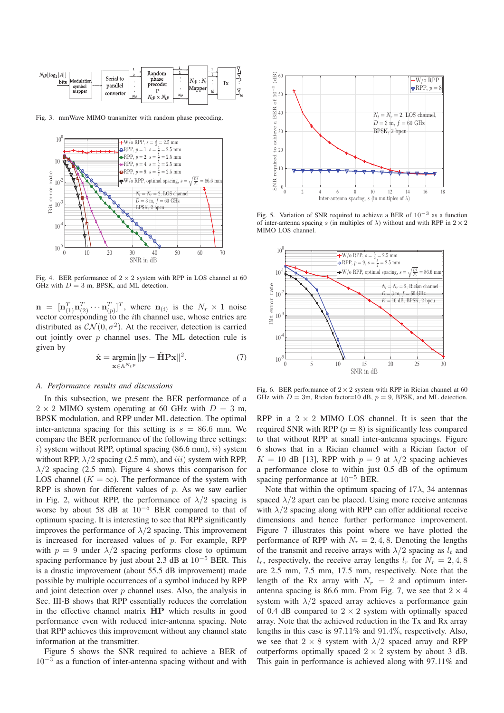

Fig. 3. mmWave MIMO transmitter with random phase precoding.



Fig. 4. BER performance of  $2 \times 2$  system with RPP in LOS channel at 60 GHz with  $D = 3$  m, BPSK, and ML detection.

 $\mathbf{n} = [\mathbf{n}_{(1)}^T \mathbf{n}_{(2)}^T \cdots \mathbf{n}_{(p)}^T]^T$ , where  $\mathbf{n}_{(i)}$  is the  $N_r \times 1$  noise vector corresponding to the *i*th channel use, whose entries are distributed as  $\mathcal{CN}(0, \sigma^2)$ . At the receiver, detection is carried out jointly over  $p$  channel uses. The ML detection rule is given by

$$
\hat{\mathbf{x}} = \underset{\mathbf{x} \in \mathbb{A}^{N_t p}}{\operatorname{argmin}} \|\mathbf{y} - \tilde{\mathbf{H}} \mathbf{P} \mathbf{x}\|^2. \tag{7}
$$

# *A. Performance results and discussions*

In this subsection, we present the BER performance of a  $2 \times 2$  MIMO system operating at 60 GHz with  $D = 3$  m, BPSK modulation, and RPP under ML detection. The optimal inter-antenna spacing for this setting is  $s = 86.6$  mm. We compare the BER performance of the following three settings: i) system without RPP, optimal spacing  $(86.6 \text{ mm})$ , ii) system without RPP,  $\lambda/2$  spacing (2.5 mm), and *iii*) system with RPP,  $\lambda/2$  spacing (2.5 mm). Figure 4 shows this comparison for LOS channel ( $K = \infty$ ). The performance of the system with RPP is shown for different values of  $p$ . As we saw earlier in Fig. 2, without RPP, the performance of  $\lambda/2$  spacing is worse by about 58 dB at  $10^{-5}$  BER compared to that of optimum spacing. It is interesting to see that RPP significantly improves the performance of  $\lambda/2$  spacing. This improvement is increased for increased values of  $p$ . For example, RPP with  $p = 9$  under  $\lambda/2$  spacing performs close to optimum spacing performance by just about 2.3 dB at  $10^{-5}$  BER. This is a drastic improvement (about 55.5 dB improvement) made possible by multiple occurrences of a symbol induced by RPP and joint detection over  $p$  channel uses. Also, the analysis in Sec. III-B shows that RPP essentially reduces the correlation in the effective channel matrix  $\overline{HP}$  which results in good performance even with reduced inter-antenna spacing. Note that RPP achieves this improvement without any channel state information at the transmitter.

Figure 5 shows the SNR required to achieve a BER of  $10^{-3}$  as a function of inter-antenna spacing without and with



Fig. 5. Variation of SNR required to achieve a BER of 10−<sup>3</sup> as a function of inter-antenna spacing s (in multiples of  $\lambda$ ) without and with RPP in  $2 \times 2$ MIMO LOS channel.



Fig. 6. BER performance of  $2 \times 2$  system with RPP in Rician channel at 60 GHz with  $D = 3m$ , Rician factor=10 dB,  $p = 9$ , BPSK, and ML detection.

RPP in a  $2 \times 2$  MIMO LOS channel. It is seen that the required SNR with RPP ( $p = 8$ ) is significantly less compared to that without RPP at small inter-antenna spacings. Figure 6 shows that in a Rician channel with a Rician factor of  $K = 10$  dB [13], RPP with  $p = 9$  at  $\lambda/2$  spacing achieves a performance close to within just 0.5 dB of the optimum spacing performance at <sup>10</sup><sup>−</sup><sup>5</sup> BER.

Note that within the optimum spacing of  $17\lambda$ , 34 antennas spaced  $\lambda/2$  apart can be placed. Using more receive antennas with  $\lambda/2$  spacing along with RPP can offer additional receive dimensions and hence further performance improvement. Figure 7 illustrates this point where we have plotted the performance of RPP with  $N_r = 2, 4, 8$ . Denoting the lengths of the transmit and receive arrays with  $\lambda/2$  spacing as  $l_t$  and  $l_r$ , respectively, the receive array lengths  $l_r$  for  $N_r = 2, 4, 8$ are 2.5 mm, 7.5 mm, 17.5 mm, respectively. Note that the length of the Rx array with  $N_r = 2$  and optimum interantenna spacing is 86.6 mm. From Fig. 7, we see that  $2 \times 4$ system with  $\lambda/2$  spaced array achieves a performance gain of 0.4 dB compared to  $2 \times 2$  system with optimally spaced array. Note that the achieved reduction in the Tx and Rx array lengths in this case is 97.11% and 91.4%, respectively. Also, we see that  $2 \times 8$  system with  $\lambda/2$  spaced array and RPP outperforms optimally spaced  $2 \times 2$  system by about 3 dB. This gain in performance is achieved along with 97.11% and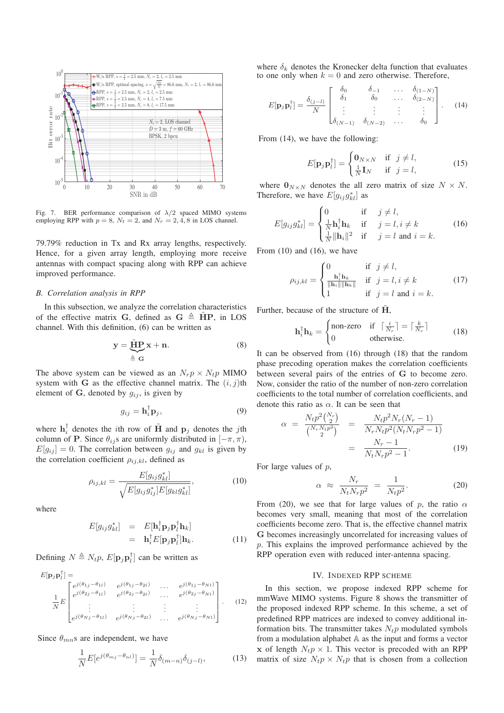

Fig. 7. BER performance comparison of  $\lambda/2$  spaced MIMO systems employing RPP with  $p = 8$ ,  $N_t = 2$ , and  $N_r = 2$ , 4, 8 in LOS channel.

79.79% reduction in Tx and Rx array lengths, respectively. Hence, for a given array length, employing more receive antennas with compact spacing along with RPP can achieve improved performance.

## *B. Correlation analysis in RPP*

In this subsection, we analyze the correlation characteristics of the effective matrix **G**, defined as  $G \triangleq HP$ , in LOS channel. With this definition, (6) can be written as

$$
y = \underbrace{\tilde{H}P}_{\triangleq G} x + n. \tag{8}
$$

The above system can be viewed as an  $N_r p \times N_t p$  MIMO system with **G** as the effective channel matrix. The  $(i, j)$ th element of  $\bf{G}$ , denoted by  $g_{ij}$ , is given by

$$
g_{ij} = \mathbf{h}_i^{\mathsf{T}} \mathbf{p}_j,\tag{9}
$$

where  $\mathbf{h}_i^{\dagger}$  denotes the *i*th row of **H** and  $\mathbf{p}_j$  denotes the *j*th column of **P**. Since  $\theta_{ij}$ s are uniformly distributed in  $[-\pi, \pi)$ ,  $E[g_{ij}] = 0$ . The correlation between  $g_{ij}$  and  $g_{kl}$  is given by the correlation coefficient  $\rho_{ij,kl}$ , defined as

$$
\rho_{ij,kl} = \frac{E[g_{ij}g_{kl}^*]}{\sqrt{E[g_{ij}g_{ij}^*]E[g_{kl}g_{kl}^*]}},\tag{10}
$$

where

$$
E[g_{ij}g_{kl}^*] = E[\mathbf{h}_i^{\dagger} \mathbf{p}_j \mathbf{p}_l^{\dagger} \mathbf{h}_k] = \mathbf{h}_i^{\dagger} E[\mathbf{p}_j \mathbf{p}_l^{\dagger}] \mathbf{h}_k.
$$
 (11)

Defining  $N \triangleq N_t p$ ,  $E[\mathbf{p}_j \mathbf{p}_l^{\dagger}]$  can be written as

$$
E[\mathbf{p}_j \mathbf{p}_l^{\dagger}] = \begin{bmatrix} e^{j(\theta_{1j} - \theta_{1l})} & e^{j(\theta_{1j} - \theta_{2l})} & \dots & e^{j(\theta_{1j} - \theta_{Nl})} \\ e^{j(\theta_{2j} - \theta_{1l})} & e^{j(\theta_{2j} - \theta_{2l})} & \dots & e^{j(\theta_{2j} - \theta_{Nl})} \\ \vdots & \vdots & \ddots & \vdots \\ e^{j(\theta_{Nj} - \theta_{1l})} & e^{j(\theta_{Nj} - \theta_{2l})} & \dots & e^{j(\theta_{Nj} - \theta_{Nl})} \end{bmatrix} . \tag{12}
$$

Since  $\theta_{mn}$ s are independent, we have

$$
\frac{1}{N}E[e^{j(\theta_{mj}-\theta_{nl})}]=\frac{1}{N}\delta_{(m-n)}\delta_{(j-l)},
$$
\n(13)

where  $\delta_k$  denotes the Kronecker delta function that evaluates to one only when  $k = 0$  and zero otherwise. Therefore,

$$
E[\mathbf{p}_j \mathbf{p}_l^{\dagger}] = \frac{\delta_{(j-l)}}{N} \begin{bmatrix} \delta_0 & \delta_{-1} & \dots & \delta_{(1-N)} \\ \delta_1 & \delta_0 & \dots & \delta_{(2-N)} \\ \vdots & \vdots & \vdots & \vdots \\ \delta_{(N-1)} & \delta_{(N-2)} & \dots & \delta_0 \end{bmatrix} . \quad (14)
$$

From (14), we have the following:

$$
E[\mathbf{p}_j \mathbf{p}_l^{\dagger}] = \begin{cases} \mathbf{0}_{N \times N} & \text{if } j \neq l, \\ \frac{1}{N} \mathbf{I}_N & \text{if } j = l, \end{cases}
$$
 (15)

where  $\mathbf{0}_{N\times N}$  denotes the all zero matrix of size  $N \times N$ . Therefore, we have  $E[g_{ij}g_{kl}^*]$  as

$$
E[g_{ij}g_{kl}^*] = \begin{cases} 0 & \text{if } j \neq l, \\ \frac{1}{N}\mathbf{h}_i^{\dagger}\mathbf{h}_k & \text{if } j = l, i \neq k \\ \frac{1}{N} \|\mathbf{h}_i\|^2 & \text{if } j = l \text{ and } i = k. \end{cases}
$$
 (16)

From  $(10)$  and  $(16)$ , we have

$$
\rho_{ij,kl} = \begin{cases}\n0 & \text{if } j \neq l, \\
\frac{\mathbf{h}_i^{\dagger} \mathbf{h}_k}{\|\mathbf{h}_i\| \|\mathbf{h}_k\|} & \text{if } j = l, i \neq k \\
1 & \text{if } j = l \text{ and } i = k.\n\end{cases}
$$
\n(17)

Further, because of the structure of  $\overline{H}$ ,

$$
\mathbf{h}_i^{\dagger} \mathbf{h}_k = \begin{cases} \text{non-zero} & \text{if } \lceil \frac{i}{N_r} \rceil = \lceil \frac{k}{N_r} \rceil \\ 0 & \text{otherwise.} \end{cases} \tag{18}
$$

It can be observed from (16) through (18) that the random phase precoding operation makes the correlation coefficients between several pairs of the entries of **G** to become zero. Now, consider the ratio of the number of non-zero correlation coefficients to the total number of correlation coefficients, and denote this ratio as  $\alpha$ . It can be seen that

$$
\alpha = \frac{N_t p^2 {N_r \choose 2}}{{N_r N_t p^2 \choose 2}} = \frac{N_t p^2 N_r (N_r - 1)}{N_r N_t p^2 (N_t N_r p^2 - 1)}
$$

$$
= \frac{N_r - 1}{N_t N_r p^2 - 1}.
$$
(19)

For large values of  $p$ ,

$$
\alpha \approx \frac{N_r}{N_t N_r p^2} = \frac{1}{N_t p^2}.
$$
 (20)

From (20), we see that for large values of p, the ratio  $\alpha$ becomes very small, meaning that most of the correlation coefficients become zero. That is, the effective channel matrix **G** becomes increasingly uncorrelated for increasing values of p. This explains the improved performance achieved by the RPP operation even with reduced inter-antenna spacing.

#### IV. INDEXED RPP SCHEME

In this section, we propose indexed RPP scheme for mmWave MIMO systems. Figure 8 shows the transmitter of the proposed indexed RPP scheme. In this scheme, a set of predefined RPP matrices are indexed to convey additional information bits. The transmitter takes  $N_t p$  modulated symbols from a modulation alphabet A as the input and forms a vector **x** of length  $N_t p \times 1$ . This vector is precoded with an RPP matrix of size  $N_t p \times N_t p$  that is chosen from a collection